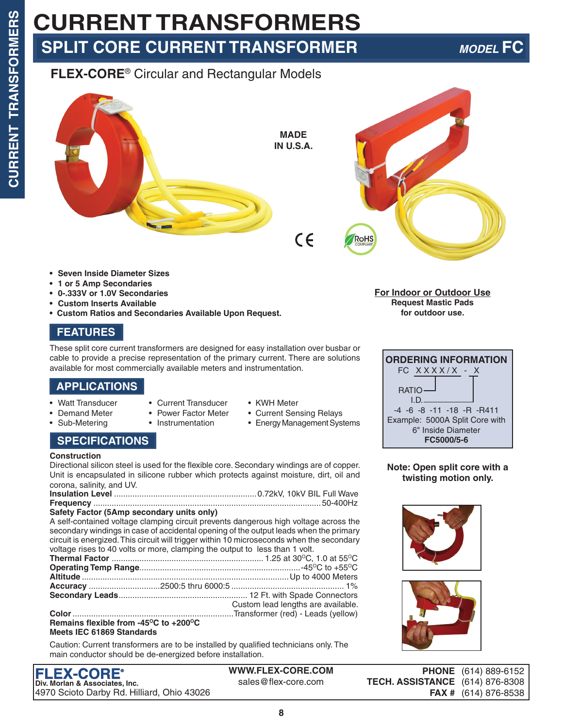# **CURRENT TRANSFORMERS SPLIT CORE CURRENT TRANSFORMER** *MODEL* **FC**

# **FLEX-CORE**® Circular and Rectangular Models



- **• Seven Inside Diameter Sizes**
- **• 1 or 5 Amp Secondaries**
- **• 0-.333V or 1.0V Secondaries**
- **• Custom Inserts Available**
- **• Custom Ratios and Secondaries Available Upon Request.**

# **FEATURES**

These split core current transformers are designed for easy installation over busbar or cable to provide a precise representation of the primary current. There are solutions available for most commercially available meters and instrumentation.

## **APPLICATIONS**

- Watt Transducer Current Transducer KWH Meter
- 
- 
- 
- Demand Meter Power Factor Meter Current Sensing Relays
- Sub-Metering Instrumentation Energy Management Systems

## **SPECIFICATIONS**

### **Construction**

Directional silicon steel is used for the flexible core. Secondary windings are of copper. Unit is encapsulated in silicone rubber which protects against moisture, dirt, oil and corona, salinity, and UV.

| $\mathcal{L}$ , and the second contract of the second contract of $\mathcal{L}$ |  |
|---------------------------------------------------------------------------------|--|

### **Safety Factor (5Amp secondary units only)**

A self-contained voltage clamping circuit prevents dangerous high voltage across the secondary windings in case of accidental opening of the output leads when the primary circuit is energized. This circuit will trigger within 10 microseconds when the secondary voltage rises to 40 volts or more, clamping the output to less than 1 volt.

|  | Custom lead lengths are available. |
|--|------------------------------------|
|  |                                    |

#### Remains flexible from -45<sup>o</sup>C to +200<sup>o</sup>C **Meets IEC 61869 Standards**

Caution: Current transformers are to be installed by qualified technicians only. The main conductor should be de-energized before installation.

**WWW.FLEX-CORE.COM** sales@flex-core.com

**8**

**For Indoor or Outdoor Use Request Mastic Pads for outdoor use.**



**Note: Open split core with a twisting motion only.**





**PHONE** (614) 889-6152 **TECH. ASSISTANCE** (614) 876-8308